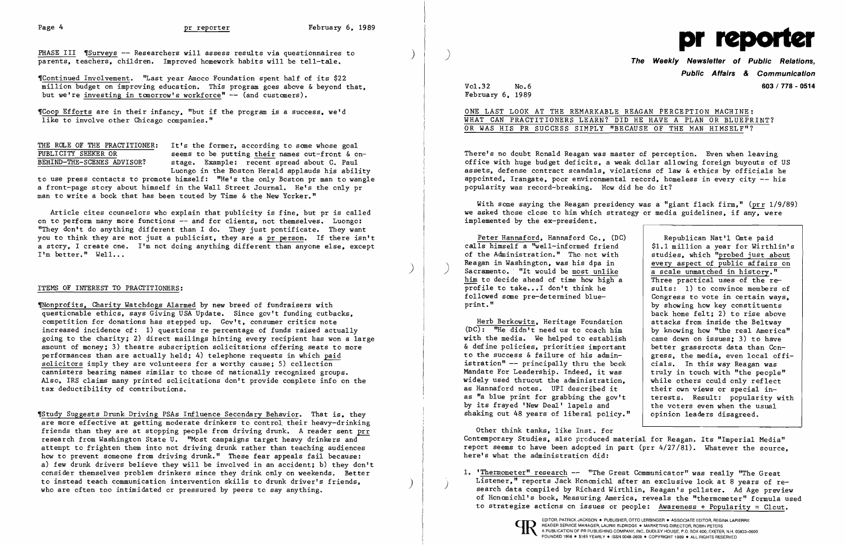THE ROLE OF THE PRACTITIONER: It's the former, according to some whose goal<br>PHBLICITY SEEKER OR seems to be putting their names out-front & or PUBLICITY SEEKER OR seems to be putting their names out-front & on-<br>BEHIND-THE-SCENES ADVISOR? stage. Example: recent spread about C. Paul stage. Example: recent spread about C. Paul Luongo in the Boston Herald applauds his ability

'Coop Efforts are in their infancy. "but if the program. is a success, we'd like to involve other Chicago companies."

Article cites counselors who explain that publicity is fine. but pr is called on to perform many more functions -- and for clients. not themselves. Luongo: "They don't do anything different than I do. They just pontificate. They want you to think they are not just a publicist. they are a pr person. If there isn't a story. I create one. I'm not doing anything different than anyone else, except I'm better." Well...

to use press contacts to promote himself: "He's the only Boston pr man to wangle a front-page story about himself in the Wall Street Journal. He's the only pr man to write a book that has been touted by Time & the New Yorker."

Thonprofits. Charity Watchdogs Alarmed by new breed of fundraisers with questionable ethics. says Giving USA Update. Since gov't funding cutbacks. competition for donations has stepped up. Gov't. consumer critics note increased incidence of: 1) questions re percentage of funds raised actually going to the charity; 2) direct mailings hinting every recipient has won a large amount of money; 3) theatre subscription solicitations offering seats to more performances than are actually held; 4) telephone requests in which paid solicitors imply they are volunteers for a worthy cause; 5) collection cannisters bearing names similar to those of nationally recognized groups. Also. IRS claims many printed solicitations don't provide complete info on the tax deductibility of contributions.

'Study Suggests Drunk Driving PSAs Influence Secondary Behavior. That is, they are more effective at getting moderate drinkers to control their heavy-drinking friends than they are at stopping people from driving drunk. A reader sent prr research from Washington State U. "Most campaigns target heavy drinkers and attempt to frighten them into not driving drunk rather than teaching audiences how to prevent someone from driving drunk." These fear appeals fail because: a) few drunk drivers believe they will be involved in an accident; b) they don't consider themselves problem drinkers since they drink only on weekends. Better to instead teach communication intervention skills to drunk driver's friends.<br>who are often too intimidated or pressured by peers to say anything.

)

PHASE III 'Surveys -- Researchers will assess results via questionnaires to parents. teachers. children. Improved homework habits will be tell-tale.

"Continued Involvement. "Last year Amoco Foundation spent half of its \$22 million budget on improving education. This program goes above & beyond that, but we're investing in tomorrow's workforce" -- (and customers).

## ITEMS OF INTEREST TO PRACTITIONERS:

With some saying the Reagan presidency was a "giant flack firm," ( $prr$  1/9/89) we asked those close to him which strategy or media guidelines, if any, were implemented by the ex-president.

Peter Hannaford. Hannaford Co., (DC)  $cal\{1s}$  himself a "well-informed friend of the Administration." Tho not with Reagan in Washington, was his dpa in<br>Sacramento. "It would be most unlike him to decide ahead of time how high a profile to take...I don't think he followed same pre-determined blueprint. "

Herb Berkowitz, Heritage Foundation  $(DC)$ : "He didn't need us to coach him with the media. We helped to establish & define policies. priorities important to the success & failure of his administration" -- principally thru the book Mandate For Leadership. Indeed. it was widely used thruout the administration. as Hannaford notes. UPI described it as "a blue print for grabbing the gov't by its frayed 'New Deal' lapels and shaking out 48 years of liberal policy.

1. 'Thermometer" research -- "The Great Communicator" was really "The Great<br>Listener," reports Jack Honomichl after an exclusive look at 8 vears of research data compiled by Richard Wirthlin, Reagan's pollster. Ad Age preview of Honanich1' s book. Measuring America. reveals the "thermometer" formula used to strategize actions on issues or people: Awareness + Popularity = Clout.



Vo1.32 No.6 February 6. 1989

**Public Affairs** *&* **Communication 603/778 - 0514** 

ONE LAST LOOK AT THE REMARKABLE REAGAN PERCEPTION MACHINE: WHAT CAN PRACTITIONERS LEARN? DID HE HAVE A PLAN OR BLUEPRINT? OR WAS HIS PR SUCCESS SIMPLY "BECAUSE OF THE MAN HIMSELF"?

There's no doubt Ronald Reagan was master of perception. Even when leaving office with huge budget deficits. a weak dollar allowing foreign buyouts of US assets. defense contract scandals, violations of law  $\&$  ethics by officials he appointed. Irangate. poor environmental record. homeless in every city -- his popularity was record-breaking. How did he do it?

|              | Republican Nat'1 Cmte paid          |
|--------------|-------------------------------------|
|              | \$1.1 million a year for Wirthlin's |
|              | studies, which "probed just about   |
|              | every aspect of public affairs on   |
|              | a scale unmatched in history."      |
|              | Three practical uses of the re-     |
|              | sults: 1) to convince members of    |
|              |                                     |
|              | Congress to vote in certain ways,   |
|              | by showing how key constituents     |
|              | back home felt; 2) to rise above    |
|              | attacks from inside the Beltway     |
|              | by knowing how "the real America"   |
| ı            | came down on issues; 3) to have     |
|              | better grassroots data than Con-    |
|              | gress, the media, even local offi-  |
|              | cials. In this way Reagan was       |
|              | truly in touch with "the people"    |
|              | while others could only reflect     |
|              | their own views or special in-      |
|              | terests. Result: popularity with    |
|              | the voters even when the usual      |
| $^{\bullet}$ |                                     |
|              | opinion leaders disagreed.          |

Other think tanks. like Inst. for Contemporary Studies. also produced material for Reagan. Its "Imperial Media" report seems to have been adopted in part (prr 4/27/81). Whatever the source. here's what the administration did: